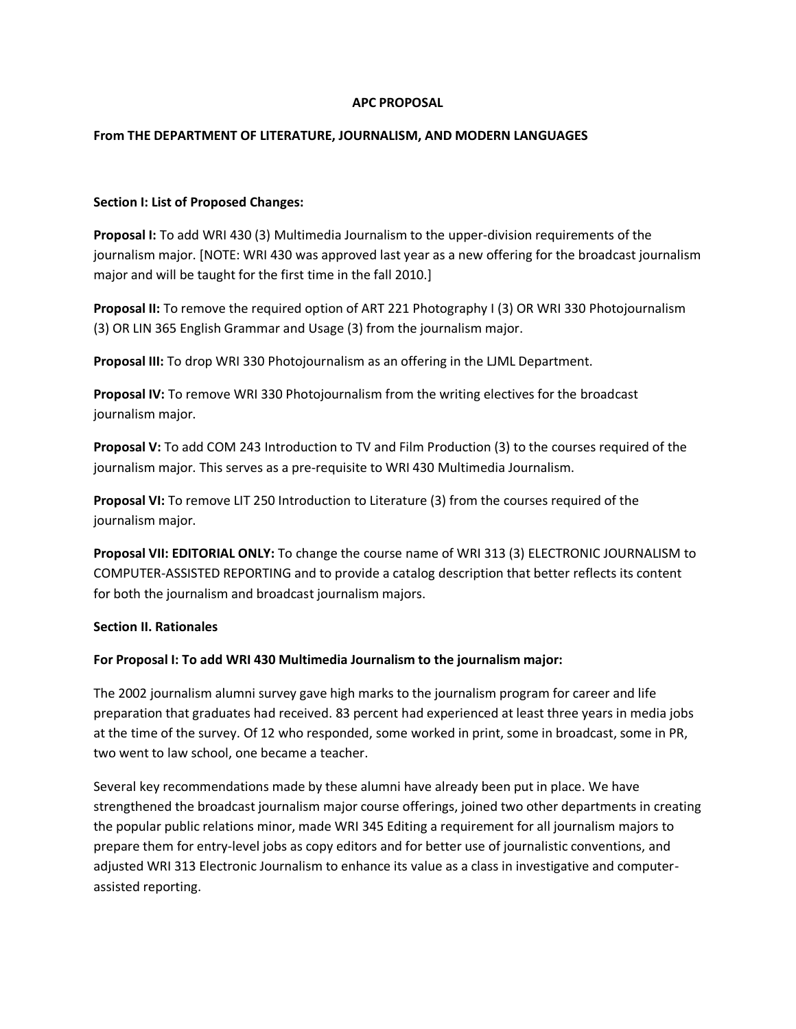### **APC PROPOSAL**

# **From THE DEPARTMENT OF LITERATURE, JOURNALISM, AND MODERN LANGUAGES**

# **Section I: List of Proposed Changes:**

**Proposal I:** To add WRI 430 (3) Multimedia Journalism to the upper-division requirements of the journalism major. [NOTE: WRI 430 was approved last year as a new offering for the broadcast journalism major and will be taught for the first time in the fall 2010.]

**Proposal II:** To remove the required option of ART 221 Photography I (3) OR WRI 330 Photojournalism (3) OR LIN 365 English Grammar and Usage (3) from the journalism major.

**Proposal III:** To drop WRI 330 Photojournalism as an offering in the LJML Department.

**Proposal IV:** To remove WRI 330 Photojournalism from the writing electives for the broadcast journalism major.

**Proposal V:** To add COM 243 Introduction to TV and Film Production (3) to the courses required of the journalism major. This serves as a pre-requisite to WRI 430 Multimedia Journalism.

**Proposal VI:** To remove LIT 250 Introduction to Literature (3) from the courses required of the journalism major.

**Proposal VII: EDITORIAL ONLY:** To change the course name of WRI 313 (3) ELECTRONIC JOURNALISM to COMPUTER-ASSISTED REPORTING and to provide a catalog description that better reflects its content for both the journalism and broadcast journalism majors.

### **Section II. Rationales**

### **For Proposal I: To add WRI 430 Multimedia Journalism to the journalism major:**

The 2002 journalism alumni survey gave high marks to the journalism program for career and life preparation that graduates had received. 83 percent had experienced at least three years in media jobs at the time of the survey. Of 12 who responded, some worked in print, some in broadcast, some in PR, two went to law school, one became a teacher.

Several key recommendations made by these alumni have already been put in place. We have strengthened the broadcast journalism major course offerings, joined two other departments in creating the popular public relations minor, made WRI 345 Editing a requirement for all journalism majors to prepare them for entry-level jobs as copy editors and for better use of journalistic conventions, and adjusted WRI 313 Electronic Journalism to enhance its value as a class in investigative and computerassisted reporting.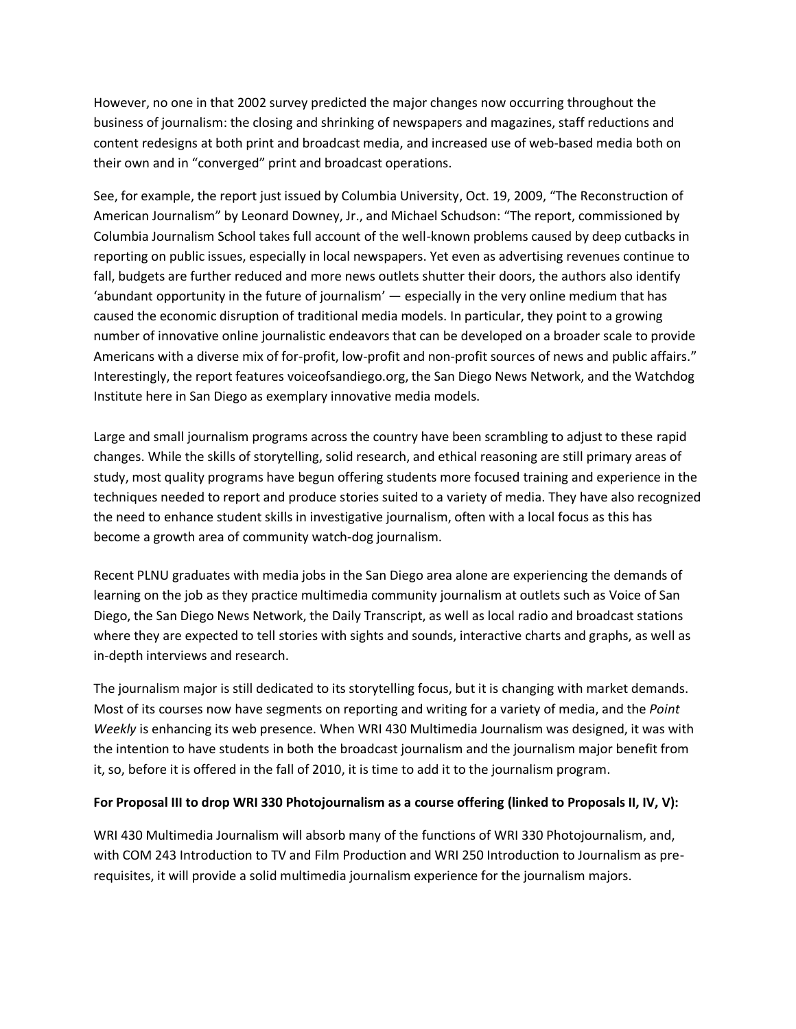However, no one in that 2002 survey predicted the major changes now occurring throughout the business of journalism: the closing and shrinking of newspapers and magazines, staff reductions and content redesigns at both print and broadcast media, and increased use of web-based media both on their own and in "converged" print and broadcast operations.

See, for example, the report just issued by Columbia University, Oct. 19, 2009, "The Reconstruction of American Journalism" by Leonard Downey, Jr., and Michael Schudson: "The report, commissioned by Columbia Journalism School takes full account of the well-known problems caused by deep cutbacks in reporting on public issues, especially in local newspapers. Yet even as advertising revenues continue to fall, budgets are further reduced and more news outlets shutter their doors, the authors also identify 'abundant opportunity in the future of journalism' — especially in the very online medium that has caused the economic disruption of traditional media models. In particular, they point to a growing number of innovative online journalistic endeavors that can be developed on a broader scale to provide Americans with a diverse mix of for-profit, low-profit and non-profit sources of news and public affairs." Interestingly, the report features voiceofsandiego.org, the San Diego News Network, and the Watchdog Institute here in San Diego as exemplary innovative media models.

Large and small journalism programs across the country have been scrambling to adjust to these rapid changes. While the skills of storytelling, solid research, and ethical reasoning are still primary areas of study, most quality programs have begun offering students more focused training and experience in the techniques needed to report and produce stories suited to a variety of media. They have also recognized the need to enhance student skills in investigative journalism, often with a local focus as this has become a growth area of community watch-dog journalism.

Recent PLNU graduates with media jobs in the San Diego area alone are experiencing the demands of learning on the job as they practice multimedia community journalism at outlets such as Voice of San Diego, the San Diego News Network, the Daily Transcript, as well as local radio and broadcast stations where they are expected to tell stories with sights and sounds, interactive charts and graphs, as well as in-depth interviews and research.

The journalism major is still dedicated to its storytelling focus, but it is changing with market demands. Most of its courses now have segments on reporting and writing for a variety of media, and the *Point Weekly* is enhancing its web presence. When WRI 430 Multimedia Journalism was designed, it was with the intention to have students in both the broadcast journalism and the journalism major benefit from it, so, before it is offered in the fall of 2010, it is time to add it to the journalism program.

### **For Proposal III to drop WRI 330 Photojournalism as a course offering (linked to Proposals II, IV, V):**

WRI 430 Multimedia Journalism will absorb many of the functions of WRI 330 Photojournalism, and, with COM 243 Introduction to TV and Film Production and WRI 250 Introduction to Journalism as prerequisites, it will provide a solid multimedia journalism experience for the journalism majors.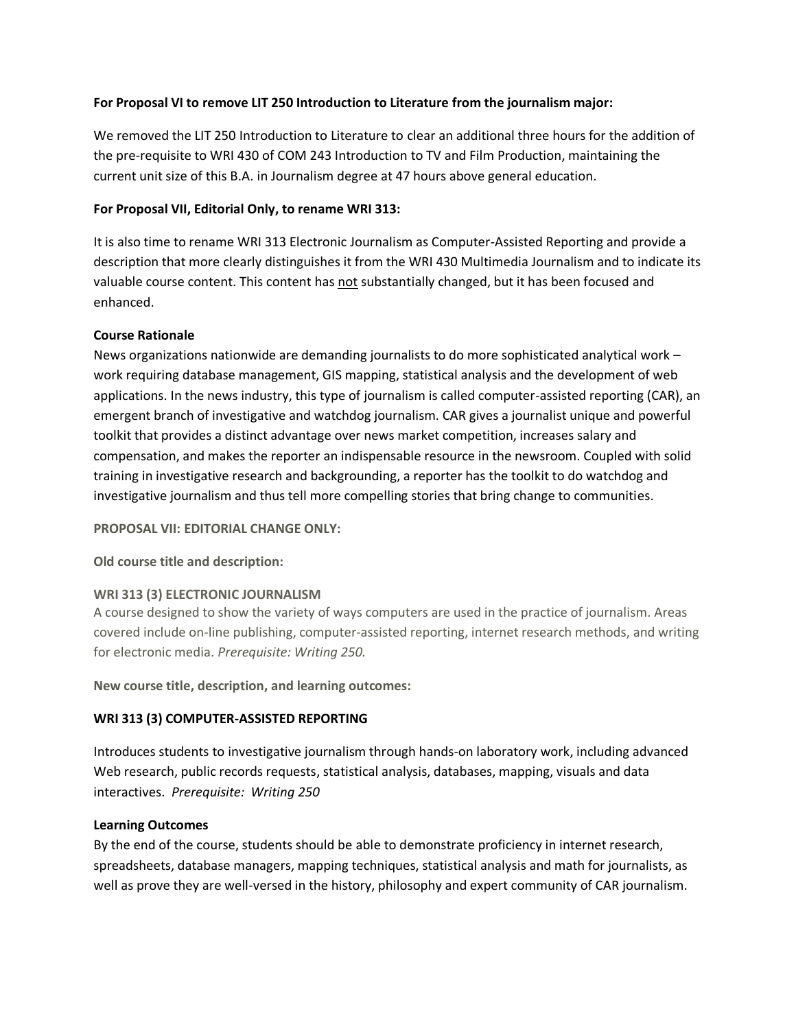# **For Proposal VI to remove LIT 250 Introduction to Literature from the journalism major:**

We removed the LIT 250 Introduction to Literature to clear an additional three hours for the addition of the pre-requisite to WRI 430 of COM 243 Introduction to TV and Film Production, maintaining the current unit size of this B.A. in Journalism degree at 47 hours above general education.

# **For Proposal VII, Editorial Only, to rename WRI 313:**

It is also time to rename WRI 313 Electronic Journalism as Computer-Assisted Reporting and provide a description that more clearly distinguishes it from the WRI 430 Multimedia Journalism and to indicate its valuable course content. This content has not substantially changed, but it has been focused and enhanced.

# **Course Rationale**

News organizations nationwide are demanding journalists to do more sophisticated analytical work – work requiring database management, GIS mapping, statistical analysis and the development of web applications. In the news industry, this type of journalism is called computer-assisted reporting (CAR), an emergent branch of investigative and watchdog journalism. CAR gives a journalist unique and powerful toolkit that provides a distinct advantage over news market competition, increases salary and compensation, and makes the reporter an indispensable resource in the newsroom. Coupled with solid training in investigative research and backgrounding, a reporter has the toolkit to do watchdog and investigative journalism and thus tell more compelling stories that bring change to communities.

### **PROPOSAL VII: EDITORIAL CHANGE ONLY:**

# **Old course title and description:**

### **WRI 313 (3) ELECTRONIC JOURNALISM**

A course designed to show the variety of ways computers are used in the practice of journalism. Areas covered include on-line publishing, computer-assisted reporting, internet research methods, and writing for electronic media. *Prerequisite: Writing 250.*

**New course title, description, and learning outcomes:**

# **WRI 313 (3) COMPUTER-ASSISTED REPORTING**

Introduces students to investigative journalism through hands-on laboratory work, including advanced Web research, public records requests, statistical analysis, databases, mapping, visuals and data interactives. *Prerequisite: Writing 250*

### **Learning Outcomes**

By the end of the course, students should be able to demonstrate proficiency in internet research, spreadsheets, database managers, mapping techniques, statistical analysis and math for journalists, as well as prove they are well-versed in the history, philosophy and expert community of CAR journalism.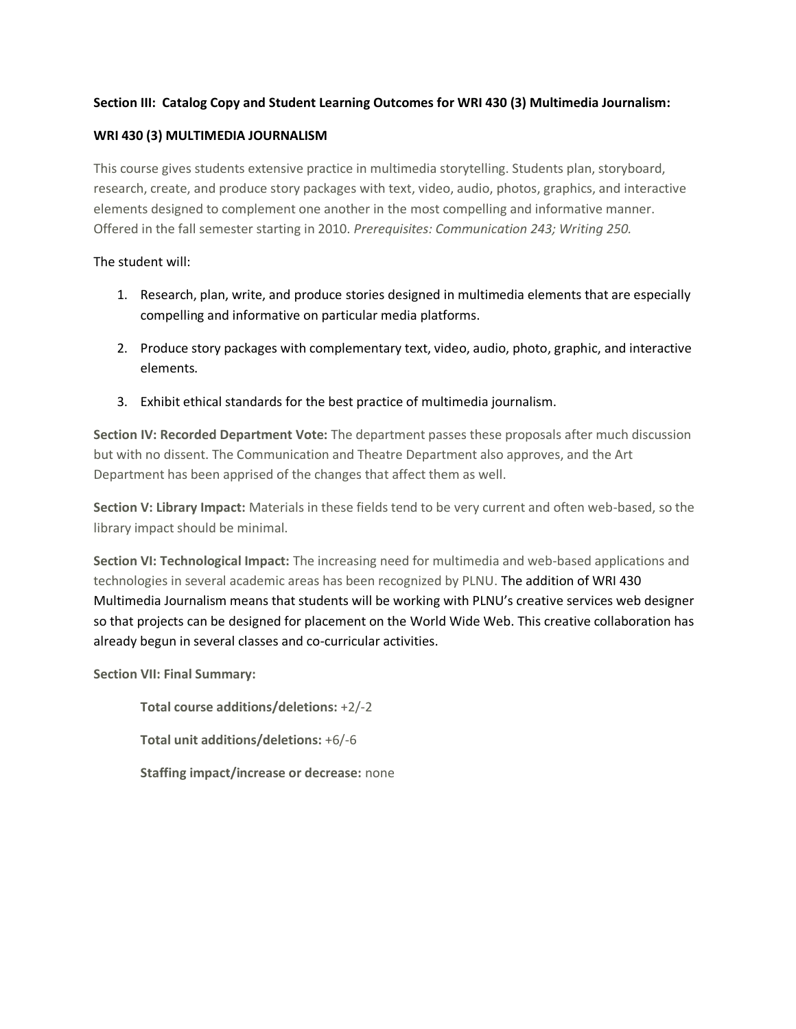# **Section III: Catalog Copy and Student Learning Outcomes for WRI 430 (3) Multimedia Journalism:**

# **WRI 430 (3) MULTIMEDIA JOURNALISM**

This course gives students extensive practice in multimedia storytelling. Students plan, storyboard, research, create, and produce story packages with text, video, audio, photos, graphics, and interactive elements designed to complement one another in the most compelling and informative manner. Offered in the fall semester starting in 2010. *Prerequisites: Communication 243; Writing 250.*

# The student will:

- 1. Research, plan, write, and produce stories designed in multimedia elements that are especially compelling and informative on particular media platforms.
- 2. Produce story packages with complementary text, video, audio, photo, graphic, and interactive elements.
- 3. Exhibit ethical standards for the best practice of multimedia journalism.

**Section IV: Recorded Department Vote:** The department passes these proposals after much discussion but with no dissent. The Communication and Theatre Department also approves, and the Art Department has been apprised of the changes that affect them as well.

**Section V: Library Impact:** Materials in these fields tend to be very current and often web-based, so the library impact should be minimal.

**Section VI: Technological Impact:** The increasing need for multimedia and web-based applications and technologies in several academic areas has been recognized by PLNU. The addition of WRI 430 Multimedia Journalism means that students will be working with PLNU's creative services web designer so that projects can be designed for placement on the World Wide Web. This creative collaboration has already begun in several classes and co-curricular activities.

**Section VII: Final Summary:**

**Total course additions/deletions:** +2/-2 **Total unit additions/deletions:** +6/-6 **Staffing impact/increase or decrease:** none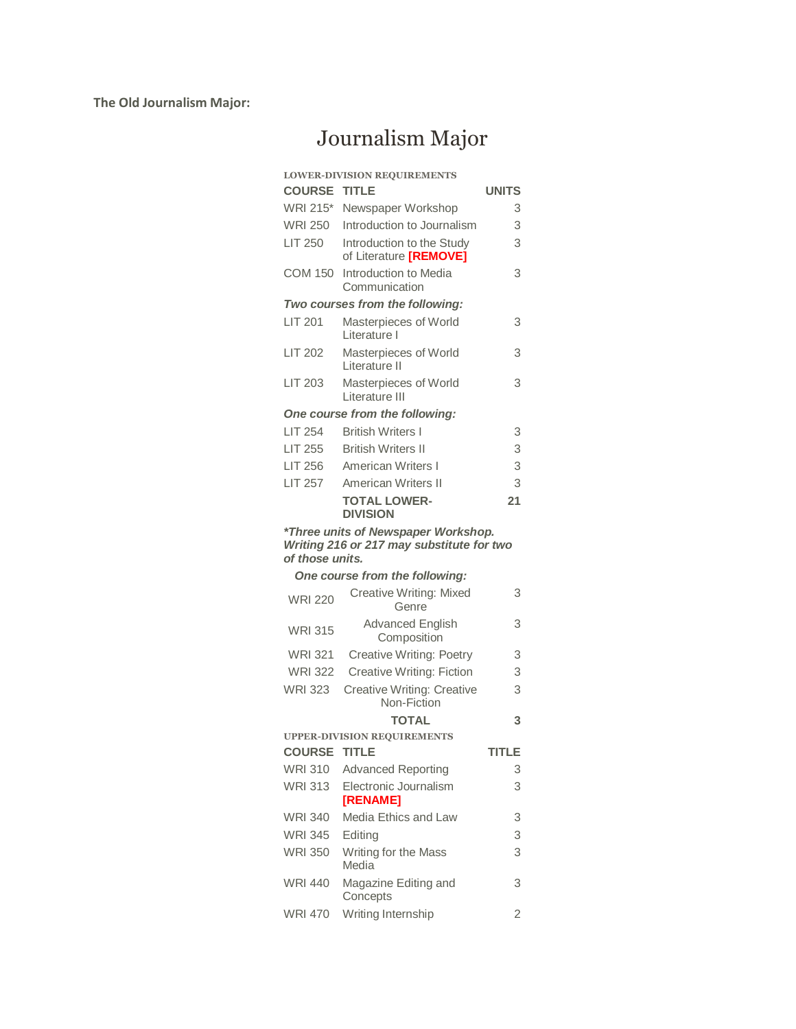**The Old Journalism Major:**

# Journalism Major

|                     | <b>LOWER-DIVISION REQUIREMENTS</b>                                                                        |              |
|---------------------|-----------------------------------------------------------------------------------------------------------|--------------|
| <b>COURSE TITLE</b> |                                                                                                           | <b>UNITS</b> |
| <b>WRI 215*</b>     | Newspaper Workshop                                                                                        | 3            |
| WRI 250             | Introduction to Journalism                                                                                | 3            |
| <b>LIT 250</b>      | Introduction to the Study<br>of Literature [REMOVE]                                                       | 3            |
| COM 150             | Introduction to Media<br>Communication                                                                    | 3            |
|                     | Two courses from the following:                                                                           |              |
| LIT 201             | Masterpieces of World<br>Literature I                                                                     | 3            |
| <b>LIT 202</b>      | Masterpieces of World<br>Literature II                                                                    | 3            |
| <b>LIT 203</b>      | Masterpieces of World<br>Literature III                                                                   | 3            |
|                     | One course from the following:                                                                            |              |
| <b>LIT 254</b>      | <b>British Writers I</b>                                                                                  | 3            |
| <b>LIT 255</b>      | <b>British Writers II</b>                                                                                 | 3            |
| <b>LIT 256</b>      | American Writers I                                                                                        | 3            |
| <b>LIT 257</b>      | American Writers II                                                                                       | 3            |
|                     | <b>TOTAL LOWER-</b><br><b>DIVISION</b>                                                                    | 21           |
| of those units.     | *Three units of Newspaper Workshop.<br>Writing 216 or 217 may substitute for two                          |              |
|                     | One course from the following:                                                                            |              |
|                     | $\bigcap_{i=1}^n$ and $\bigcap_{i=1}^n$ and $\bigcap_{i=1}^n$ and $\bigcap_{i=1}^n$ and $\bigcap_{i=1}^n$ | $\sim$       |

| <b>WRI 220</b>      | Creative Writing: Mixed<br>Genre                 | 3      |
|---------------------|--------------------------------------------------|--------|
| <b>WRI 315</b>      | <b>Advanced English</b><br>Composition           | 3      |
| <b>WRI 321</b>      | <b>Creative Writing: Poetry</b>                  | 3      |
| <b>WRI 322</b>      | Creative Writing: Fiction                        | 3      |
| <b>WRI 323</b>      | <b>Creative Writing: Creative</b><br>Non-Fiction | 3      |
|                     | <b>TOTAL</b>                                     | 3      |
|                     | <b>UPPER-DIVISION REQUIREMENTS</b>               |        |
| <b>COURSE TITLE</b> |                                                  | TITI F |
|                     |                                                  |        |
| <b>WRI 310</b>      | <b>Advanced Reporting</b>                        | 3      |
| <b>WRI 313</b>      | Electronic Journalism                            | 3      |
|                     | [RENAME]                                         |        |
| <b>WRI 340</b>      | Media Ethics and Law                             | 3      |
| <b>WRI 345</b>      | Editing                                          | 3      |
| <b>WRI 350</b>      | Writing for the Mass<br>Media                    | 3      |
| <b>WRI 440</b>      | Magazine Editing and<br>Concepts                 | 3      |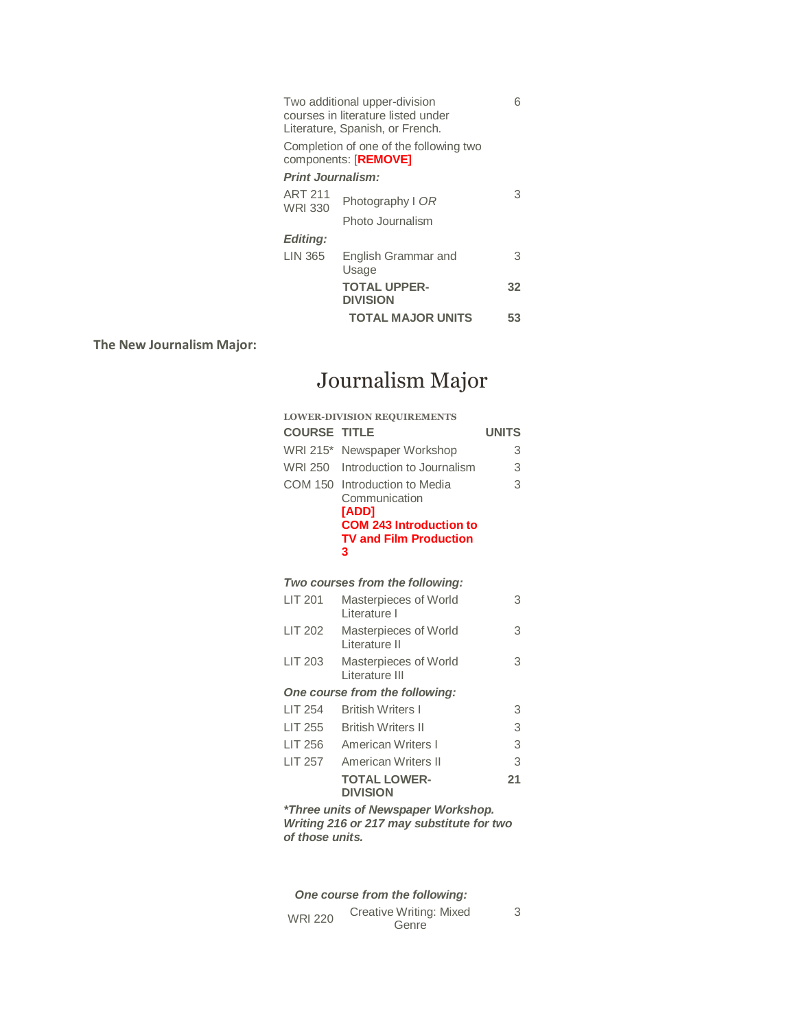| Two additional upper-division      |  |
|------------------------------------|--|
| courses in literature listed under |  |
| Literature, Spanish, or French.    |  |

6

Completion of one of the following two components: [**REMOVE]**

#### *Print Journalism:*

| <b>ART 211</b><br><b>WRI 330</b> | Photography I OR                       | 3  |
|----------------------------------|----------------------------------------|----|
|                                  | Photo Journalism                       |    |
| <b>Editing:</b>                  |                                        |    |
| LIN 365                          | English Grammar and<br>Usage           | З  |
|                                  | <b>TOTAL UPPER-</b><br><b>DIVISION</b> | 32 |
|                                  | <b>TOTAL MAJOR UNITS</b>               | 53 |

**The New Journalism Major:**

# Journalism Major

| <b>LOWER-DIVISION REQUIREMENTS</b>  |                                                                                                                                        |              |
|-------------------------------------|----------------------------------------------------------------------------------------------------------------------------------------|--------------|
| <b>COURSE TITLE</b>                 |                                                                                                                                        | <b>UNITS</b> |
| WRI 215*                            | Newspaper Workshop                                                                                                                     | 3            |
| WRI 250                             | Introduction to Journalism                                                                                                             | 3            |
|                                     | COM 150 Introduction to Media<br>Communication<br><b>[ADD]</b><br><b>COM 243 Introduction to</b><br><b>TV and Film Production</b><br>3 | 3            |
|                                     | Two courses from the following:                                                                                                        |              |
| LIT 201                             | Masterpieces of World<br>Literature L                                                                                                  | 3            |
| LIT 202                             | Masterpieces of World<br>Literature II                                                                                                 | 3            |
| <b>LIT 203</b>                      | Masterpieces of World<br>Literature III                                                                                                | 3            |
| One course from the following:      |                                                                                                                                        |              |
| <b>LIT 254</b>                      | <b>British Writers I</b>                                                                                                               | 3            |
| <b>LIT 255</b>                      | <b>British Writers II</b>                                                                                                              | 3            |
| <b>LIT 256</b>                      | American Writers I                                                                                                                     | 3            |
| LIT 257                             | American Writers II                                                                                                                    | 3            |
|                                     | <b>TOTAL LOWER-</b><br><b>DIVISION</b>                                                                                                 | 21           |
| *Three units of Newspaper Workshop. |                                                                                                                                        |              |

*Writing 216 or 217 may substitute for two of those units.* 

*One course from the following:* WRI 220 Creative Writing: Mixed **Genre** 

3